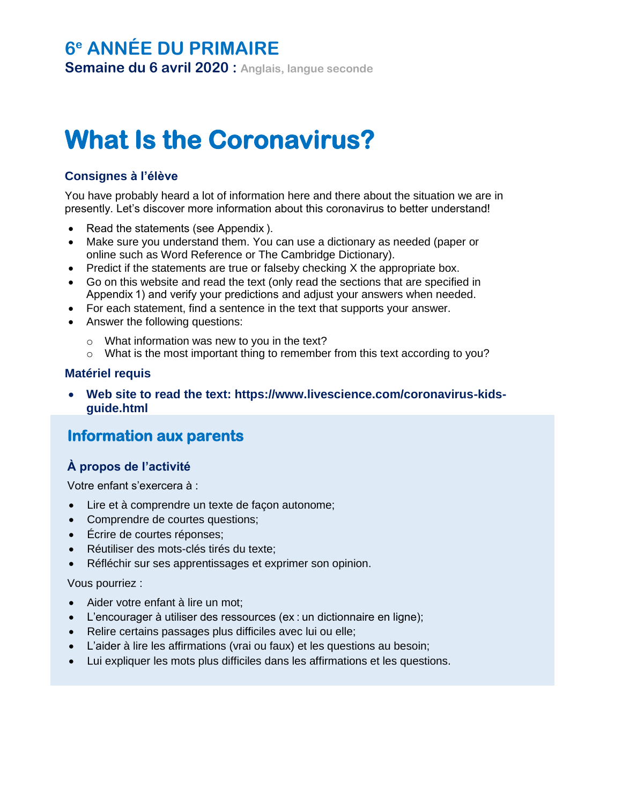## **6 <sup>e</sup> ANNÉE DU PRIMAIRE**

**Semaine du 6 avril 2020 : Anglais, langue seconde**

# **What Is the Coronavirus?**

## **Consignes à l'élève**

You have probably heard a lot of information here and there about the situation we are in presently. Let's discover more information about this coronavirus to better understand!

- Read the statements (see Appendix ).
- Make sure you understand them. You can use a dictionary as needed (paper or online such as Word Reference or The Cambridge Dictionary).
- Predict if the statements are true or falseby checking  $X$  the appropriate box.
- Go on this website and read the text (only read the sections that are specified in Appendix 1) and verify your predictions and adjust your answers when needed.
- For each statement, find a sentence in the text that supports your answer.
- Answer the following questions:
	- o What information was new to you in the text?
	- o What is the most important thing to remember from this text according to you?

### **Matériel requis**

• **Web site to read the text: https://www.livescience.com/coronavirus-kidsguide.html**

## **Information aux parents**

### **À propos de l'activité**

Votre enfant s'exercera à :

- Lire et à comprendre un texte de façon autonome;
- Comprendre de courtes questions;
- Écrire de courtes réponses;
- Réutiliser des mots-clés tirés du texte;
- Réfléchir sur ses apprentissages et exprimer son opinion.

#### Vous pourriez :

- Aider votre enfant à lire un mot;
- L'encourager à utiliser des ressources (ex : un dictionnaire en ligne);
- Relire certains passages plus difficiles avec lui ou elle;
- L'aider à lire les affirmations (vrai ou faux) et les questions au besoin;
- Lui expliquer les mots plus difficiles dans les affirmations et les questions.